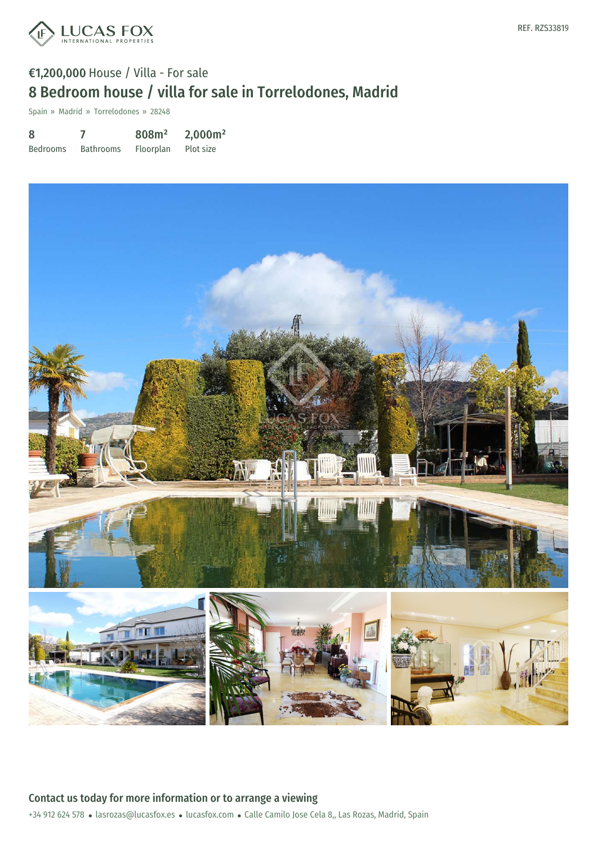

Spain » Madrid » Torrelodones » 28248

| 8               |                  | 808m <sup>2</sup> | 2,000m <sup>2</sup> |
|-----------------|------------------|-------------------|---------------------|
| <b>Bedrooms</b> | <b>Bathrooms</b> | Floorplan         | Plot size           |



+34 912 624 578 · lasrozas@lucasfox.es · lucasfox.com · Calle Camilo Jose Cela 8,, Las Rozas, Madrid, Spain Contact us today for more information or to arrange a viewing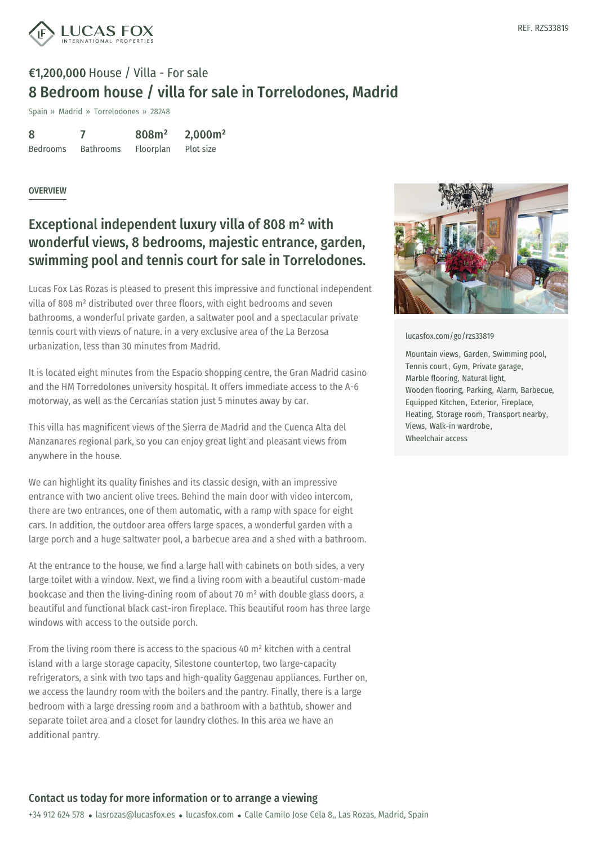

Spain » Madrid » Torrelodones » 28248

| 8               |                  | 808m <sup>2</sup> | 2,000m <sup>2</sup> |
|-----------------|------------------|-------------------|---------------------|
| <b>Bedrooms</b> | <b>Bathrooms</b> | Floorplan         | Plot size           |

#### **OVERVIEW**

## Exceptional independent luxury villa of 808 m² with wonderful views, 8 bedrooms, majestic entrance, garden, swimming pool and tennis court for sale in Torrelodones.

Lucas Fox Las Rozas is pleased to present this impressive and functional independent villa of 808 m² distributed over three floors, with eight bedrooms and seven bathrooms, a wonderful private garden, a saltwater pool and a spectacular private tennis court with views of nature. in a very exclusive area of the La Berzosa urbanization, less than 30 minutes from Madrid.

It is located eight minutes from the Espacio shopping centre, the Gran Madrid casino and the HM Torredolones university hospital. It offers immediate access to the A-6 motorway, as well as the Cercanías station just 5 minutes away by car.

This villa has magnificent views of the Sierra de Madrid and the Cuenca Alta del Manzanares regional park, so you can enjoy great light and pleasant views from anywhere in the house.

We can highlight its quality finishes and its classic design, with an impressive entrance with two ancient olive trees. Behind the main door with video intercom, there are two entrances, one of them automatic, with a ramp with space for eight cars. In addition, the outdoor area offers large spaces, a wonderful garden with a large porch and a huge saltwater pool, a barbecue area and a shed with a bathroom.

At the entrance to the house, we find a large hall with cabinets on both sides, a very large toilet with a window. Next, we find a living room with a beautiful custom-made bookcase and then the living-dining room of about 70 m² with double glass doors, a beautiful and functional black cast-iron fireplace. This beautiful room has three large windows with access to the [outside](mailto:lasrozas@lucasfox.es) po[rch.](https://www.lucasfox.com)

From the living room there is access to the spacious 40  $m<sup>2</sup>$  kitchen with a central island with a large storage capacity, Silestone countertop, two large-capacity refrigerators, a sink with two taps and high-quality Gaggenau appliances. Further on, we access the laundry room with the boilers and the pantry. Finally, there is a large bedroom with a large dressing room and a bathroom with a bathtub, shower and separate toilet area and a closet for laundry clothes. In this area we have an additional pantry.



[lucasfox.com/go/rzs33819](https://www.lucasfox.com/go/rzs33819)

Mountain views, Garden, Swimming pool, Tennis court, Gym, Private garage, Marble flooring, Natural light, Wooden flooring, Parking, Alarm, Barbecue, Equipped Kitchen, Exterior, Fireplace, Heating, Storage room, Transport nearby, Views, Walk-in wardrobe, Wheelchair access

### Contact us today for more information or to arrange a viewing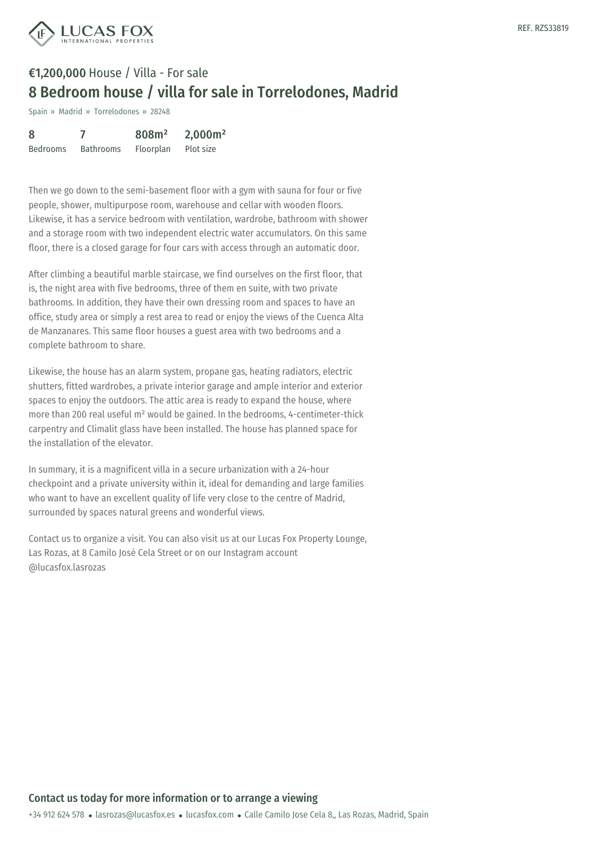

Spain » Madrid » Torrelodones » 28248

| 8               |                  | 808m <sup>2</sup> | 2,000m <sup>2</sup> |
|-----------------|------------------|-------------------|---------------------|
| <b>Bedrooms</b> | <b>Bathrooms</b> | Floorplan         | Plot size           |

Then we go down to the semi-basement floor with a gym with sauna for four or five people, shower, multipurpose room, warehouse and cellar with wooden floors. Likewise, it has a service bedroom with ventilation, wardrobe, bathroom with shower and a storage room with two independent electric water accumulators. On this same floor, there is a closed garage for four cars with access through an automatic door.

After climbing a beautiful marble staircase, we find ourselves on the first floor, that is, the night area with five bedrooms, three of them en suite, with two private bathrooms. In addition, they have their own dressing room and spaces to have an office, study area or simply a rest area to read or enjoy the views of the Cuenca Alta de Manzanares. This same floor houses a guest area with two bedrooms and a complete bathroom to share.

Likewise, the house has an alarm system, propane gas, heating radiators, electric shutters, fitted wardrobes, a private interior garage and ample interior and exterior spaces to enjoy the outdoors. The attic area is ready to expand the house, where more than 200 real useful m² would be gained. In the bedrooms, 4-centimeter-thick carpentry and Climalit glass have been installed. The house has planned space for the installation of the elevator.

In summary, it is a magnificent villa in a secure urbanization with a 24-hour checkpoint and a private university within it, ideal for demanding and large families who want to have an excellent quality of life very close to the centre of Madrid, surrounded by spaces natural greens and wonderful views.

Contact us to organize a visit. You can also visit us at our Lucas Fox Property Lounge, Las Rozas, at 8 Camilo José Cela Street or on our Instagram account @lucasfox.lasrozas